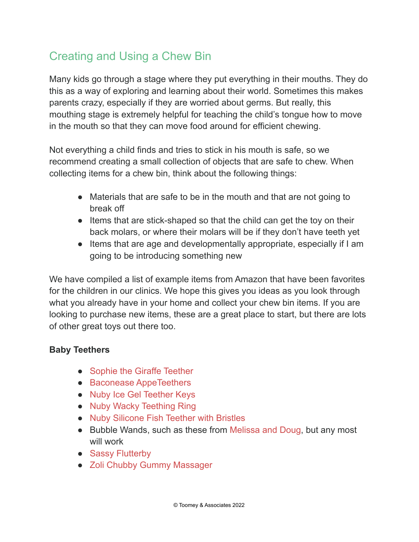# Creating and Using a Chew Bin

Many kids go through a stage where they put everything in their mouths. They do this as a way of exploring and learning about their world. Sometimes this makes parents crazy, especially if they are worried about germs. But really, this mouthing stage is extremely helpful for teaching the child's tongue how to move in the mouth so that they can move food around for efficient chewing.

Not everything a child finds and tries to stick in his mouth is safe, so we recommend creating a small collection of objects that are safe to chew. When collecting items for a chew bin, think about the following things:

- Materials that are safe to be in the mouth and that are not going to break off
- Items that are stick-shaped so that the child can get the toy on their back molars, or where their molars will be if they don't have teeth yet
- Items that are age and developmentally appropriate, especially if I am going to be introducing something new

We have compiled a list of example items from Amazon that have been favorites for the children in our clinics. We hope this gives you ideas as you look through what you already have in your home and collect your chew bin items. If you are looking to purchase new items, these are a great place to start, but there are lots of other great toys out there too.

### **Baby Teethers**

- [Sophie the Giraffe Teether](https://www.amazon.com/Vulli-Sophie-Giraffe-Polka-Dots/dp/B06XHNCJHV/ref=sr_1_2_s_it?s=baby-products&ie=UTF8&qid=1537422546&sr=1-2&keywords=soffie%2Bthe%2Bgiraf%2Borganic%2Bteether&th=1)
- [Baconease AppeTeethers](https://www.amazon.com/Little-Toader-Teething-Baconease-Appe-Teethers/dp/B00P8IDQCS/ref=sr_1_1_s_it?s=baby-products&ie=UTF8&qid=1537422838&sr=1-1&keywords=bacon+appeteethers)
- [Nuby Ice Gel Teether Keys](https://www.amazon.com/Nuby-Ice-Gel-Teether-Keys/dp/B003N9M6YI/ref=pd_lpo_vtph_bs_img_1?_encoding=UTF8&refRID=G79JX4XVTVY9407K8C2J&th=1)
- [Nuby Wacky Teething Ring](https://www.amazon.com/Nuby-632-Wacky-Teething-Ring/dp/B07D86WVFF/ref=sr_1_1_s_it?s=baby-products&ie=UTF8&qid=1537423218&sr=1-1&keywords=nuby%2Bwacky&th=1)
- [Nuby Silicone Fish Teether with Bristles](https://www.amazon.com/Nuby-Silicone-Teethe-eez-Bristles-Hygienic/dp/B00IN8OJ30/ref=pd_bxgy_75_img_2?_encoding=UTF8&pd_rd_i=B00IN8OJ58&pd_rd_r=7a555c38-bc9a-11e8-b3a9-1f5f95d9d540&pd_rd_w=VKCZV&pd_rd_wg=W5xJE&pf_rd_i=desktop-dp-sims&pf_rd_m=ATVPDKIKX0DER&pf_rd_p=3f9889ac-6c45-46e8-b515-3af650557207&pf_rd_r=7XH0ZF3CAR8SNDDZQQ78&pf_rd_s=desktop-dp-sims&pf_rd_t=40701&refRID=7XH0ZF3CAR8SNDDZQQ78&th=1)
- Bubble Wands, such as these from [Melissa and Doug,](https://www.amazon.com/Melissa-Doug-Backyard-Buddies-Wand/dp/B004VS0LEC/ref=sr_1_1?crid=WF5L8JG3ALEI&keywords=bubble+wand+melissa+and+doug&qid=1642267784&sprefix=bubble+wands+melissa+and+doug%2Caps%2C99&sr=8-1) but any most will work
- [Sassy Flutterby](https://www.amazon.com/Sassy-Flutterby-Teether-Developmental-Toy/dp/B005DVU0J2/ref=sr_1_1_s_it?s=baby-products&ie=UTF8&qid=1537423500&sr=1-1&keywords=sassy%2Bflutterby&th=1)
- [Zoli Chubby Gummy Massager](https://www.amazon.com/BC15CGBW02-Chubby-Gummy-Massager-White/dp/B013RU92NK/ref=sr_1_2_s_it?s=baby-products&ie=UTF8&qid=1537423543&sr=1-2&keywords=zoli)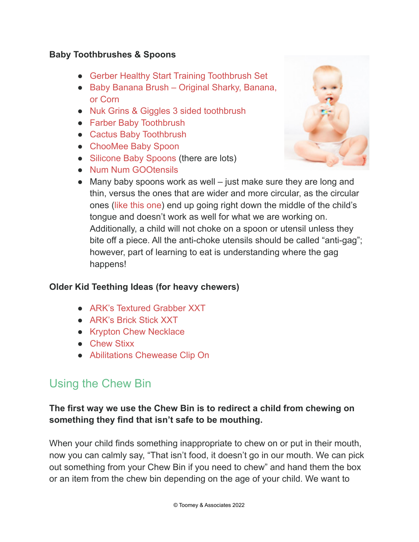#### **Baby Toothbrushes & Spoons**

- [Gerber Healthy Start Training Toothbrush Set](https://www.amazon.com/NUK-grins-giggles-Training-Toothbrush/dp/B002UXQRKM/ref=sr_1_4_s_it?s=baby-products&ie=UTF8&qid=1537423733&sr=1-4&keywords=Gerber+Healthy+Start+Training+Toothbrush+Set)
- [Baby Banana Brush Original Sharky, Banana,](https://www.amazon.com/Baby-Banana-Brush-Original-Sharky/dp/B004OYWY98/ref=sr_1_1_s_it?s=baby-products&ie=UTF8&qid=1537423791&sr=1-1&keywords=Baby%2BBanana%2BBrush%2B-%2BOriginal%2BSharky%2C%2BBanana%2C%2Bor%2BCorn&th=1) [or Corn](https://www.amazon.com/Baby-Banana-Brush-Original-Sharky/dp/B004OYWY98/ref=sr_1_1_s_it?s=baby-products&ie=UTF8&qid=1537423791&sr=1-1&keywords=Baby%2BBanana%2BBrush%2B-%2BOriginal%2BSharky%2C%2BBanana%2C%2Bor%2BCorn&th=1)
- [Nuk Grins & Giggles 3 sided toothbrush](https://www.amazon.com/NUK-Giggles-3-Sided-Toothbrush-Infant/dp/B00AWLZF0W/ref=sr_1_1_s_it?s=baby-products&ie=UTF8&qid=1537423981&sr=1-1&keywords=Nuk%2BGrins%2B%26%2BGiggles%2B3%2Bsided%2Btoothbrush&th=1)
- [Farber Baby Toothbrush](https://www.amazon.com/Baby-Infant-Toddler-Teething-Toothbrush/dp/B07BMJYTQ4/ref=sr_1_1_sspa?s=baby-products&ie=UTF8&qid=1537424074&sr=1-1-spons&keywords=trueocity%2Bbaby%2Btoddler%2Btoothbrush&th=1)
- [Cactus Baby Toothbrush](https://www.amazon.com/Toothbrush-Teether-Teething-Silicone-Bristles/dp/B07D7QBCW8/ref=sr_1_12_s_it?s=baby-products&ie=UTF8&qid=1537424212&sr=1-12&keywords=Cactus+Baby+Toothbrush)
- [ChooMee Baby Spoon](https://www.amazon.com/ChooMee-FlexiDip-Silicone-Teething-Friendly/dp/B01LDIJVAM/ref=sr_1_32?dchild=1&keywords=baby+spoons&qid=1592868226&sr=8-32)
- [Silicone Baby Spoons](https://www.amazon.com/PrimaStella-Silicone-Rainbow-Babies-Toddlers/dp/B09D55WX6D/ref=sr_1_12?crid=10YEQZBC2WRCH&keywords=baby+spoons&qid=1642267938&sprefix=baby+spoons%2Caps%2C118&sr=8-12) (there are lots)
- [Num Num GOOtensils](https://www.amazon.com/NumNum-Pre-Spoon-GOOtensils-Silicone-Feeding/dp/B082T2CJTG/ref=sr_1_58_sspa?dchild=1&keywords=baby+spoons&qid=1592868298&sr=8-58-spons&psc=1&spLa=ZW5jcnlwdGVkUXVhbGlmaWVyPUFXMENDVFhXR0UzMFcmZW5jcnlwdGVkSWQ9QTA3MDQ0MDdWVklSQlcxU0FaVzcmZW5jcnlwdGVkQWRJZD1BMDkxMjU3NDFESEtEVlhKR1pJM0Emd2lkZ2V0TmFtZT1zcF9idGYmYWN0aW9uPWNsaWNrUmVkaXJlY3QmZG9Ob3RMb2dDbGljaz10cnVl)



 $\bullet$  Many baby spoons work as well – just make sure they are long and thin, versus the ones that are wider and more circular, as the circular ones [\(like this one\)](https://www.amazon.com/Silicone-Feeding-Utensil-Training-Weaning/dp/B0836RWWJS/ref=sr_1_84?crid=10YEQZBC2WRCH&keywords=baby+spoons&qid=1642268041&sprefix=baby+spoons%2Caps%2C118&sr=8-84) end up going right down the middle of the child's tongue and doesn't work as well for what we are working on. Additionally, a child will not choke on a spoon or utensil unless they bite off a piece. All the anti-choke utensils should be called "anti-gag"; however, part of learning to eat is understanding where the gag happens!

### **Older Kid Teething Ideas (for heavy chewers)**

- [ARK's Textured Grabber XXT](https://www.amazon.com/ARKs-Textured-Grabber-Tough-Motor/dp/B00NEZRS12/ref=sr_1_cc_1_a_it?s=aps&ie=UTF8&qid=1537424351&sr=1-1-catcorr&keywords=ARK%27s+Textured+Grabber+XXT)
- [ARK's Brick Stick XXT](https://www.amazon.com/ARKs-Brick-Stick-Textured-Necklace/dp/B00WQB4I0E/ref=sr_1_8_s_it?s=hpc&ie=UTF8&qid=1537424574&sr=1-8&keywords=chew+stix)
- [Krypton Chew Necklace](https://www.amazon.com/Necklace-GNAWRISHING-Necklaces-Silicone-Autistic/dp/B088TDXZFX/ref=dp_prsubs_3?pd_rd_i=B088TDXZFX&psc=1)
- [Chew Stixx](https://www.amazon.com/CHEW-STIXX-Advanced-Teething-Technology/dp/B01BZ68UYU/ref=sr_1_2_s_it?s=hpc&ie=UTF8&qid=1537424574&sr=1-2&keywords=chew+stix)
- [Abilitations Chewease Clip On](https://www.amazon.com/Abilitations-ChewEase-Clip-Chewing-Solution/dp/B001JHZQDY/ref=sr_1_9_s_it?s=hpc&ie=UTF8&qid=1537424821&sr=1-9&keywords=chewy+tube)

# Using the Chew Bin

## **The first way we use the Chew Bin is to redirect a child from chewing on something they find that isn't safe to be mouthing.**

When your child finds something inappropriate to chew on or put in their mouth, now you can calmly say, "That isn't food, it doesn't go in our mouth. We can pick out something from your Chew Bin if you need to chew" and hand them the box or an item from the chew bin depending on the age of your child. We want to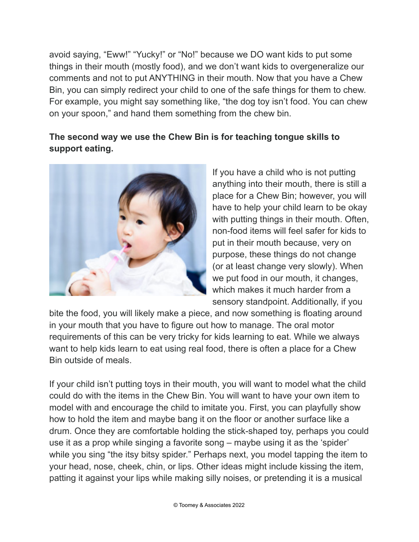avoid saying, "Eww!" "Yucky!" or "No!" because we DO want kids to put some things in their mouth (mostly food), and we don't want kids to overgeneralize our comments and not to put ANYTHING in their mouth. Now that you have a Chew Bin, you can simply redirect your child to one of the safe things for them to chew. For example, you might say something like, "the dog toy isn't food. You can chew on your spoon," and hand them something from the chew bin.

## **The second way we use the Chew Bin is for teaching tongue skills to support eating.**



If you have a child who is not putting anything into their mouth, there is still a place for a Chew Bin; however, you will have to help your child learn to be okay with putting things in their mouth. Often, non-food items will feel safer for kids to put in their mouth because, very on purpose, these things do not change (or at least change very slowly). When we put food in our mouth, it changes, which makes it much harder from a sensory standpoint. Additionally, if you

bite the food, you will likely make a piece, and now something is floating around in your mouth that you have to figure out how to manage. The oral motor requirements of this can be very tricky for kids learning to eat. While we always want to help kids learn to eat using real food, there is often a place for a Chew Bin outside of meals.

If your child isn't putting toys in their mouth, you will want to model what the child could do with the items in the Chew Bin. You will want to have your own item to model with and encourage the child to imitate you. First, you can playfully show how to hold the item and maybe bang it on the floor or another surface like a drum. Once they are comfortable holding the stick-shaped toy, perhaps you could use it as a prop while singing a favorite song – maybe using it as the 'spider' while you sing "the itsy bitsy spider." Perhaps next, you model tapping the item to your head, nose, cheek, chin, or lips. Other ideas might include kissing the item, patting it against your lips while making silly noises, or pretending it is a musical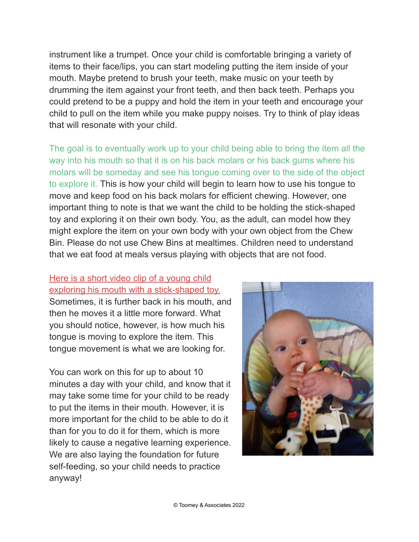instrument like a trumpet. Once your child is comfortable bringing a variety of items to their face/lips, you can start modeling putting the item inside of your mouth. Maybe pretend to brush your teeth, make music on your teeth by drumming the item against your front teeth, and then back teeth. Perhaps you could pretend to be a puppy and hold the item in your teeth and encourage your child to pull on the item while you make puppy noises. Try to think of play ideas that will resonate with your child.

The goal is to eventually work up to your child being able to bring the item all the way into his mouth so that it is on his back molars or his back gums where his molars will be someday and see his tongue coming over to the side of the object to explore it. This is how your child will begin to learn how to use his tongue to move and keep food on his back molars for efficient chewing. However, one important thing to note is that we want the child to be holding the stick-shaped toy and exploring it on their own body. You, as the adult, can model how they might explore the item on your own body with your own object from the Chew Bin. Please do not use Chew Bins at mealtimes. Children need to understand that we eat food at meals versus playing with objects that are not food.

### [Here is a short video clip of a young child](https://vimeo.com/422917128/bdd746a343) [exploring his mouth with a stick-shaped toy.](https://vimeo.com/422917128/bdd746a343)

Sometimes, it is further back in his mouth, and then he moves it a little more forward. What you should notice, however, is how much his tongue is moving to explore the item. This tongue movement is what we are looking for.

You can work on this for up to about 10 minutes a day with your child, and know that it may take some time for your child to be ready to put the items in their mouth. However, it is more important for the child to be able to do it than for you to do it for them, which is more likely to cause a negative learning experience. We are also laying the foundation for future self-feeding, so your child needs to practice anyway!